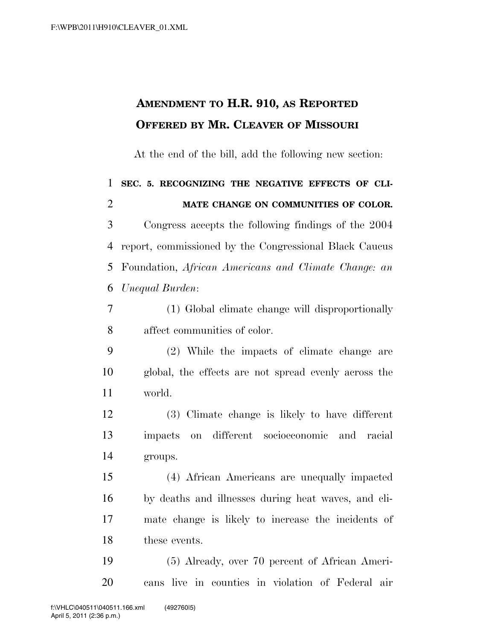## **AMENDMENT TO H.R. 910, AS REPORTED OFFERED BY MR. CLEAVER OF MISSOURI**

At the end of the bill, add the following new section:

 **SEC. 5. RECOGNIZING THE NEGATIVE EFFECTS OF CLI-MATE CHANGE ON COMMUNITIES OF COLOR.** 

 Congress accepts the following findings of the 2004 report, commissioned by the Congressional Black Caucus Foundation, *African Americans and Climate Change: an Unequal Burden*:

 (1) Global climate change will disproportionally affect communities of color.

 (2) While the impacts of climate change are global, the effects are not spread evenly across the world.

 (3) Climate change is likely to have different impacts on different socioeconomic and racial groups.

 (4) African Americans are unequally impacted by deaths and illnesses during heat waves, and cli- mate change is likely to increase the incidents of these events.

 (5) Already, over 70 percent of African Ameri-cans live in counties in violation of Federal air